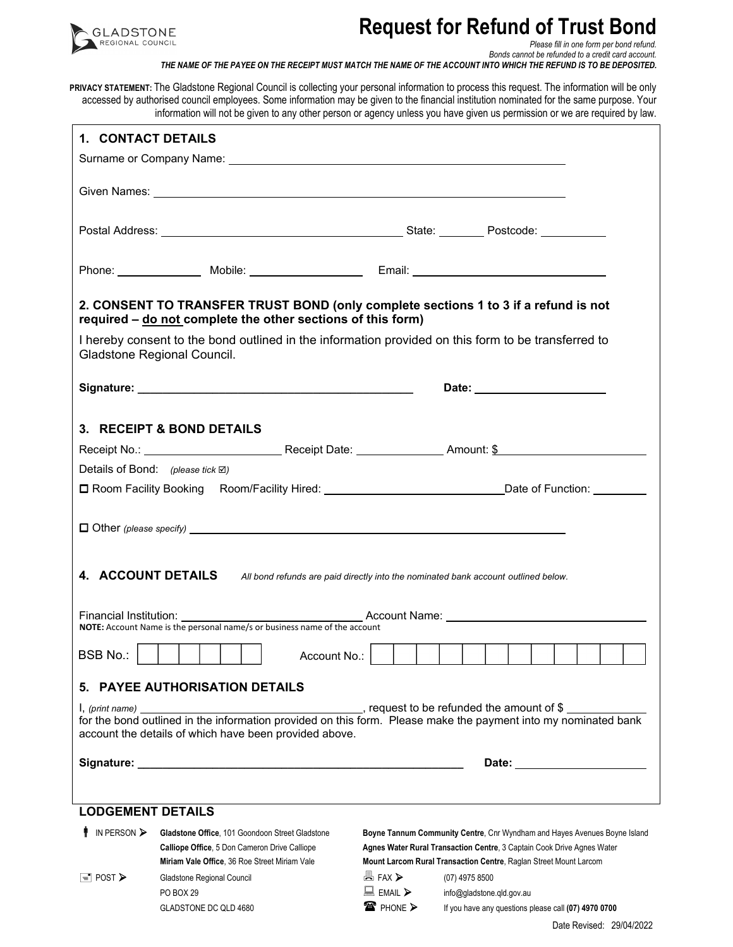

## **Request for Refund of Trust Bond**

*Please fill in one form per bond refund.* 

*Bonds cannot be refunded to a credit card account. THE NAME OF THE PAYEE ON THE RECEIPT MUST MATCH THE NAME OF THE ACCOUNT INTO WHICH THE REFUND IS TO BE DEPOSITED.* 

**PRIVACY STATEMENT:** The Gladstone Regional Council is collecting your personal information to process this request. The information will be only accessed by authorised council employees. Some information may be given to the financial institution nominated for the same purpose. Your information will not be given to any other person or agency unless you have given us permission or we are required by law.

| 1. CONTACT DETAILS                                                                                                                 |                                                                                                                                                    |                               |                                                                                                                |  |  |  |  |  |
|------------------------------------------------------------------------------------------------------------------------------------|----------------------------------------------------------------------------------------------------------------------------------------------------|-------------------------------|----------------------------------------------------------------------------------------------------------------|--|--|--|--|--|
|                                                                                                                                    |                                                                                                                                                    |                               |                                                                                                                |  |  |  |  |  |
|                                                                                                                                    |                                                                                                                                                    |                               |                                                                                                                |  |  |  |  |  |
|                                                                                                                                    |                                                                                                                                                    |                               |                                                                                                                |  |  |  |  |  |
|                                                                                                                                    |                                                                                                                                                    |                               |                                                                                                                |  |  |  |  |  |
|                                                                                                                                    |                                                                                                                                                    |                               |                                                                                                                |  |  |  |  |  |
|                                                                                                                                    | 2. CONSENT TO TRANSFER TRUST BOND (only complete sections 1 to 3 if a refund is not<br>required - do not complete the other sections of this form) |                               |                                                                                                                |  |  |  |  |  |
| I hereby consent to the bond outlined in the information provided on this form to be transferred to<br>Gladstone Regional Council. |                                                                                                                                                    |                               |                                                                                                                |  |  |  |  |  |
|                                                                                                                                    |                                                                                                                                                    |                               |                                                                                                                |  |  |  |  |  |
|                                                                                                                                    | 3. RECEIPT & BOND DETAILS                                                                                                                          |                               |                                                                                                                |  |  |  |  |  |
|                                                                                                                                    |                                                                                                                                                    |                               |                                                                                                                |  |  |  |  |  |
| Details of Bond: (please tick $\boxtimes$ )                                                                                        |                                                                                                                                                    |                               |                                                                                                                |  |  |  |  |  |
|                                                                                                                                    |                                                                                                                                                    |                               | □ Room Facility Booking Room/Facility Hired: ___________________________________Date of Function: ___________  |  |  |  |  |  |
|                                                                                                                                    |                                                                                                                                                    |                               |                                                                                                                |  |  |  |  |  |
|                                                                                                                                    |                                                                                                                                                    |                               |                                                                                                                |  |  |  |  |  |
|                                                                                                                                    |                                                                                                                                                    |                               |                                                                                                                |  |  |  |  |  |
|                                                                                                                                    | 4. ACCOUNT DETAILS All bond refunds are paid directly into the nominated bank account outlined below.                                              |                               |                                                                                                                |  |  |  |  |  |
|                                                                                                                                    |                                                                                                                                                    |                               |                                                                                                                |  |  |  |  |  |
|                                                                                                                                    | NOTE: Account Name is the personal name/s or business name of the account                                                                          |                               |                                                                                                                |  |  |  |  |  |
| <b>BSB No.:</b>                                                                                                                    | Account No.:                                                                                                                                       |                               |                                                                                                                |  |  |  |  |  |
|                                                                                                                                    | 5. PAYEE AUTHORISATION DETAILS                                                                                                                     |                               |                                                                                                                |  |  |  |  |  |
|                                                                                                                                    |                                                                                                                                                    |                               |                                                                                                                |  |  |  |  |  |
| l, (print name)                                                                                                                    | account the details of which have been provided above.                                                                                             |                               | for the bond outlined in the information provided on this form. Please make the payment into my nominated bank |  |  |  |  |  |
|                                                                                                                                    |                                                                                                                                                    |                               |                                                                                                                |  |  |  |  |  |
|                                                                                                                                    |                                                                                                                                                    |                               |                                                                                                                |  |  |  |  |  |
| <b>LODGEMENT DETAILS</b>                                                                                                           |                                                                                                                                                    |                               |                                                                                                                |  |  |  |  |  |
| $\parallel$ IN PERSON $\triangleright$                                                                                             | Gladstone Office, 101 Goondoon Street Gladstone                                                                                                    |                               | Boyne Tannum Community Centre, Cnr Wyndham and Hayes Avenues Boyne Island                                      |  |  |  |  |  |
|                                                                                                                                    | Calliope Office, 5 Don Cameron Drive Calliope<br>Agnes Water Rural Transaction Centre, 3 Captain Cook Drive Agnes Water                            |                               |                                                                                                                |  |  |  |  |  |
| $\equiv$ POST $\triangleright$                                                                                                     | Miriam Vale Office, 36 Roe Street Miriam Vale                                                                                                      | <b>A</b> FAX >                | Mount Larcom Rural Transaction Centre, Raglan Street Mount Larcom                                              |  |  |  |  |  |
|                                                                                                                                    | Gladstone Regional Council<br>PO BOX 29                                                                                                            | $\Box$ EMAIL $\triangleright$ | (07) 4975 8500<br>info@gladstone.qld.gov.au                                                                    |  |  |  |  |  |
|                                                                                                                                    | GLADSTONE DC QLD 4680                                                                                                                              | <b>■ PHONE &gt;</b>           | If you have any questions please call (07) 4970 0700                                                           |  |  |  |  |  |